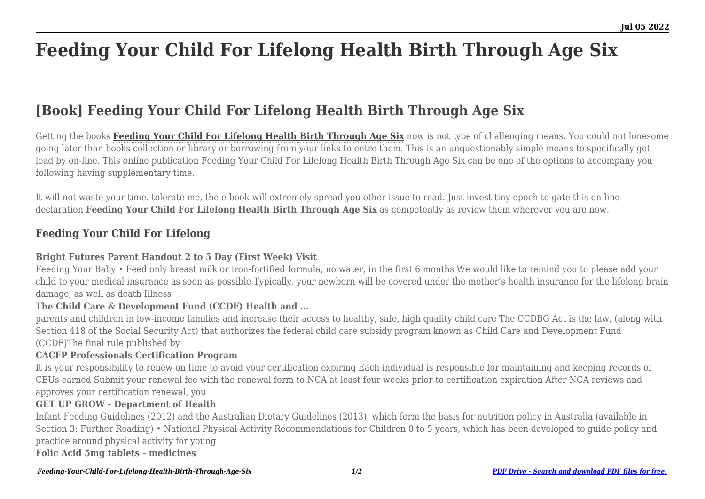# **Feeding Your Child For Lifelong Health Birth Through Age Six**

## **[Book] Feeding Your Child For Lifelong Health Birth Through Age Six**

Getting the books **[Feeding Your Child For Lifelong Health Birth Through Age Six](http://jessicaberan.com)** now is not type of challenging means. You could not lonesome going later than books collection or library or borrowing from your links to entre them. This is an unquestionably simple means to specifically get lead by on-line. This online publication Feeding Your Child For Lifelong Health Birth Through Age Six can be one of the options to accompany you following having supplementary time.

It will not waste your time. tolerate me, the e-book will extremely spread you other issue to read. Just invest tiny epoch to gate this on-line declaration **Feeding Your Child For Lifelong Health Birth Through Age Six** as competently as review them wherever you are now.

### **[Feeding Your Child For Lifelong](http://jessicaberan.com/Feeding-Your-Child-For-Lifelong-Health-Birth-Through-Age-Six.pdf)**

#### **Bright Futures Parent Handout 2 to 5 Day (First Week) Visit**

Feeding Your Baby • Feed only breast milk or iron-fortified formula, no water, in the first 6 months We would like to remind you to please add your child to your medical insurance as soon as possible Typically, your newborn will be covered under the mother's health insurance for the lifelong brain damage, as well as death Illness

#### **The Child Care & Development Fund (CCDF) Health and …**

parents and children in low-income families and increase their access to healthy, safe, high quality child care The CCDBG Act is the law, (along with Section 418 of the Social Security Act) that authorizes the federal child care subsidy program known as Child Care and Development Fund (CCDF)The final rule published by

#### **CACFP Professionals Certification Program**

It is your responsibility to renew on time to avoid your certification expiring Each individual is responsible for maintaining and keeping records of CEUs earned Submit your renewal fee with the renewal form to NCA at least four weeks prior to certification expiration After NCA reviews and approves your certification renewal, you

#### **GET UP GROW - Department of Health**

Infant Feeding Guidelines (2012) and the Australian Dietary Guidelines (2013), which form the basis for nutrition policy in Australia (available in Section 3: Further Reading) • National Physical Activity Recommendations for Children 0 to 5 years, which has been developed to guide policy and practice around physical activity for young

**Folic Acid 5mg tablets - medicines**